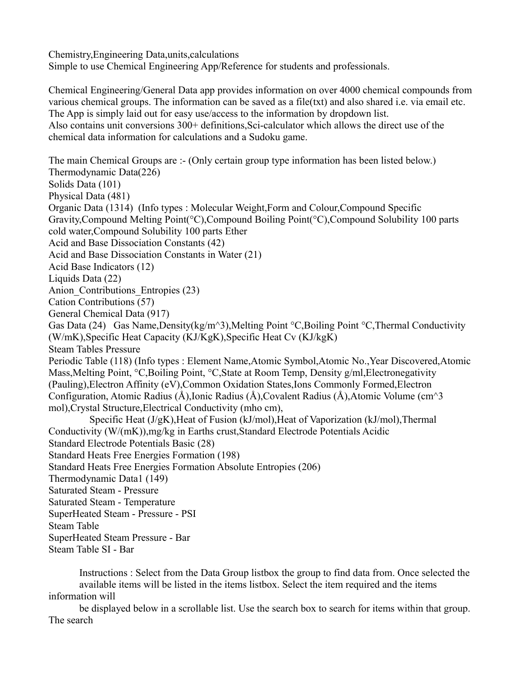Chemistry,Engineering Data,units,calculations Simple to use Chemical Engineering App/Reference for students and professionals.

Chemical Engineering/General Data app provides information on over 4000 chemical compounds from various chemical groups. The information can be saved as a file(txt) and also shared i.e. via email etc. The App is simply laid out for easy use/access to the information by dropdown list. Also contains unit conversions 300+ definitions,Sci-calculator which allows the direct use of the chemical data information for calculations and a Sudoku game.

The main Chemical Groups are :- (Only certain group type information has been listed below.) Thermodynamic Data(226) Solids Data (101) Physical Data (481) Organic Data (1314) (Info types : Molecular Weight,Form and Colour,Compound Specific Gravity,Compound Melting Point(°C),Compound Boiling Point(°C),Compound Solubility 100 parts cold water,Compound Solubility 100 parts Ether Acid and Base Dissociation Constants (42) Acid and Base Dissociation Constants in Water (21) Acid Base Indicators (12) Liquids Data (22) Anion Contributions Entropies (23) Cation Contributions (57) General Chemical Data (917) Gas Data (24) Gas Name, Density(kg/m<sup> $\land$ </sup>3), Melting Point °C, Boiling Point °C, Thermal Conductivity (W/mK),Specific Heat Capacity (KJ/KgK),Specific Heat Cv (KJ/kgK) Steam Tables Pressure Periodic Table (118) (Info types : Element Name,Atomic Symbol,Atomic No.,Year Discovered,Atomic Mass,Melting Point, °C,Boiling Point, °C,State at Room Temp, Density g/ml,Electronegativity (Pauling),Electron Affinity (eV),Common Oxidation States,Ions Commonly Formed,Electron Configuration, Atomic Radius ( $\AA$ ),Ionic Radius ( $\AA$ ),Covalent Radius ( $\AA$ ),Atomic Volume (cm<sup> $\land$ </sup>3 mol),Crystal Structure,Electrical Conductivity (mho cm), Specific Heat (J/gK),Heat of Fusion (kJ/mol),Heat of Vaporization (kJ/mol),Thermal Conductivity (W/(mK)),mg/kg in Earths crust,Standard Electrode Potentials Acidic Standard Electrode Potentials Basic (28) Standard Heats Free Energies Formation (198) Standard Heats Free Energies Formation Absolute Entropies (206) Thermodynamic Data1 (149) Saturated Steam - Pressure Saturated Steam - Temperature SuperHeated Steam - Pressure - PSI Steam Table SuperHeated Steam Pressure - Bar Steam Table SI - Bar

 Instructions : Select from the Data Group listbox the group to find data from. Once selected the available items will be listed in the items listbox. Select the item required and the items information will

 be displayed below in a scrollable list. Use the search box to search for items within that group. The search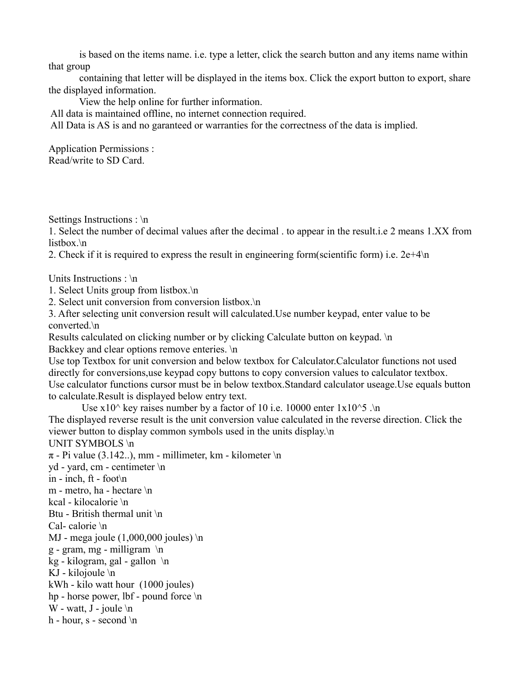is based on the items name. i.e. type a letter, click the search button and any items name within that group

 containing that letter will be displayed in the items box. Click the export button to export, share the displayed information.

View the help online for further information.

All data is maintained offline, no internet connection required.

All Data is AS is and no garanteed or warranties for the correctness of the data is implied.

Application Permissions : Read/write to SD Card.

Settings Instructions : \n

1. Select the number of decimal values after the decimal . to appear in the result.i.e 2 means 1.XX from listbox.\n

2. Check if it is required to express the result in engineering form(scientific form) i.e.  $2e+4\ln$ 

Units Instructions : \n

1. Select Units group from listbox.\n

2. Select unit conversion from conversion listbox.\n

3. After selecting unit conversion result will calculated.Use number keypad, enter value to be converted.\n

Results calculated on clicking number or by clicking Calculate button on keypad. \n Backkey and clear options remove enteries. \n

Use top Textbox for unit conversion and below textbox for Calculator.Calculator functions not used directly for conversions,use keypad copy buttons to copy conversion values to calculator textbox. Use calculator functions cursor must be in below textbox.Standard calculator useage.Use equals button to calculate.Result is displayed below entry text.

Use  $x10^{\circ}$  key raises number by a factor of 10 i.e. 10000 enter  $1x10^{\circ}5$  . $\ln$ The displayed reverse result is the unit conversion value calculated in the reverse direction. Click the viewer button to display common symbols used in the units display.\n UNIT SYMBOLS \n  $\pi$  - Pi value (3.142..), mm - millimeter, km - kilometer \n yd - yard, cm - centimeter \n

in - inch, ft - foot\n

m - metro, ha - hectare \n

kcal - kilocalorie \n

Btu - British thermal unit \n

Cal- calorie \n

MJ - mega joule  $(1,000,000$  joules) \n

 $g$  - gram, mg - milligram \n

kg - kilogram, gal - gallon  $\ln$ 

KJ - kilojoule \n

kWh - kilo watt hour (1000 joules)

hp - horse power, lbf - pound force \n

W - watt,  $J$  - joule  $\ln$ 

h - hour,  $s$  - second  $\ln$